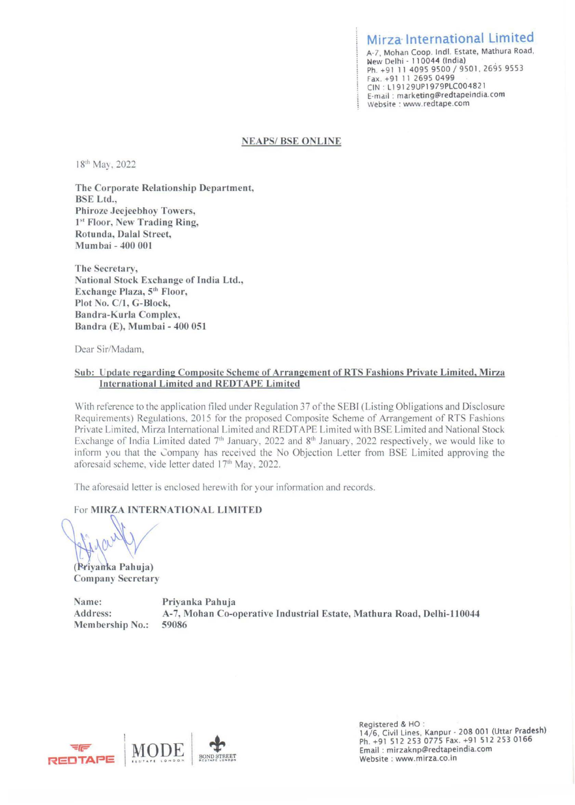Mirza International Limited A-7, Mohan Coop. lndl. Estate, Mathura Road, New Delhi - 110044 (India) Ph. +91 11 4095 9500 / 9501, 2695 9553 Fax. +91 11 2695 0499 CIN · L1 9129UP1979PLC00482 l E-mail : marketing@redtapeindia.com Website : www.redtape.com

## **NEAPS/BSE ONLINE**

18<sup>th</sup> May, 2022

The Corporate Relationship Department, BSE Ltd., Phirozc Jeejeebhoy Towers, 1<sup>st</sup> Floor, New Trading Ring, Rotunda, Dalal Street, Mumbai - 400 001

**The Secretary, ational Stock Exchange of India Ltd., Exchange Plaza, 5th Floor, Plot No. C/1, G-Block, Bandra-Kurla Complex, Bandra (E), Mumbai** - **400 051** 

Dear Sir/Madam.

## **Sub: Update regarding Composite Scheme of Arrangement ofRTS Fashions Private Limited, Mirza International Limited and REDTAPE Limited**

With reference to the application filed under Regulation 37 of the SEBI (Listing Obligations and Disclosure Requirements) Regulations, 2015 for the proposed Composite Scheme of Arrangement of RTS Fashions Private Limited, Mirza International Limited and REDTAPE Limited with BSE Limited and National Stock Exchange of India Limited dated 7<sup>th</sup> January, 2022 and 8<sup>th</sup> January, 2022 respectively, we would like to inform you that the Company has received the No Objection Letter from BSE Limited approving the aforesaid scheme, vide letter dated 17<sup>th</sup> May, 2022.

The aforesaid letter is enclosed herewith for your information and records.

For **MIRZA INTERNATIONAL LIMITED** 

(Privanka Pahuja) **Company Secretary** 

**ame: Priyanka Pahuja Address: A-7, Mohan Co-operative Industrial Estate, Mathura Road, Delhi-110044 Membership No.: 59086** 



Registered & HO :<br>14/6, Civil Lines, Kanpur - 208 001 (Uttar Pradesh) Ph. +91 512 253 0775 Fax. +91 512 253 0166 Email : mirzaknp@redtapeindia.com Website : www.mirza.co.in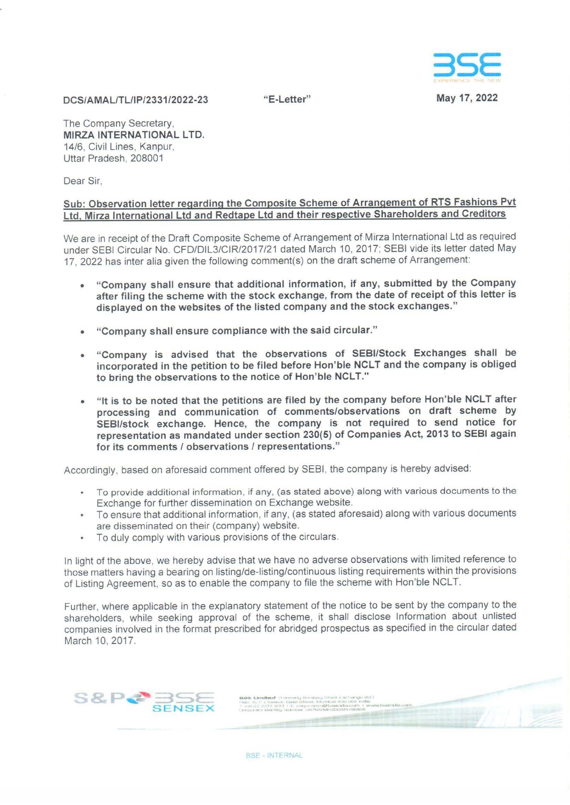

**"E-Letter" May 17, 2022** 

## **DCS/AMAUTUIP/2331/2022-23**

The Company Secretary, **MIRZA INTERNATIONAL LTD.**  14/6, Civil Lines, Kanpur, Uttar Pradesh, 208001

Dear Sir,

## **Sub: Observation letter regarding the Composite Scheme of Arrangement of RTS Fashions Pvt Ltd, Mirza International Ltd and Redtape Ltd and their respective Shareholders and Creditors**

We are in receipt of the Draft Composite Scheme of Arrangement of Mirza International Ltd as required under SEBI Circular No. CFD/DIL3/CIR/2017/21 dated March 10, 2017; SEBI vide its letter dated May 17, 2022 has inter alia given the following comment(s) on the draft scheme of Arrangement:

- **"Company shall ensure that additional information, if any, submitted by the Company after filing the scheme with the stock exchange, from the date of receipt of this letter is displayed on the websites of the listed company and the stock exchanges."**
- **"Company shall ensure compliance with the said circular."**
- **"Company is advised that the observations of SEBI/Stock Exchanges shall be incorporated in the petition to be filed before Hon'ble NCLT and the company is obliged**  to bring the observations to the notice of Hon'ble NCLT."
- **"It is to be noted that the petitions are filed by the company before Hon'ble NCLT after processing and communication of comments/observations on draft scheme by SEBl/stock exchange. Hence, the company is not required to send notice for representation as mandated under section 230(5) of Companies Act, 2013 to SEBI again for its comments/ observations/ representations."**

Accordingly, based on aforesaid comment offered by SEBI, the company is hereby advised:

- To provide additional information, if any, (as stated above) along with various documents to the Exchange for further dissemination on Exchange website.
- To ensure that additional information, if any, (as stated aforesaid) along with various documents are disseminated on their (company) website.
- To duly comply with various provisions of the circulars.

In light of the above, we hereby advise that we have no adverse observations with limited reference to those matters having a bearing on listing/de-listing/continuous listing requirements within the provisions of Listing Agreement, so as to enable the company to file the scheme with Hon'ble NCLT.

Further, where applicable in the explanatory statement of the notice to be sent by the company to the shareholders, while seeking approval of the scheme, it shall disclose Information about unlisted companies involved in the format prescribed for abridged prospectus as specified in the circular dated March 10, 2017.

> BSE Limited (Former), Bombey linck Exchange Ud. .<br>[2016. Limited: (Former), Bondary Stock Eachange Ud<br>[2016. P. J. Yovens, Dalai Street, Municial 400.001, India

• +9122.2272.1233.1 E.corp.comm@bastricha.com +<br>kepa.ete identity Nambie: U67120MH200SPL156168

**846 Limited** (Formery Bombay Shock Eacherge Ud.)<br>50: 55 F. J (covers, Casid Stires, "Myrriad 400 000 m<sup>3</sup> ... <sup>0</sup> ...<br>+14 *22 2272 1235 † E. acroscommithasis dia corr<sub>i</sub> ("www.bodindia.com* 



**BSE-INTERNAL**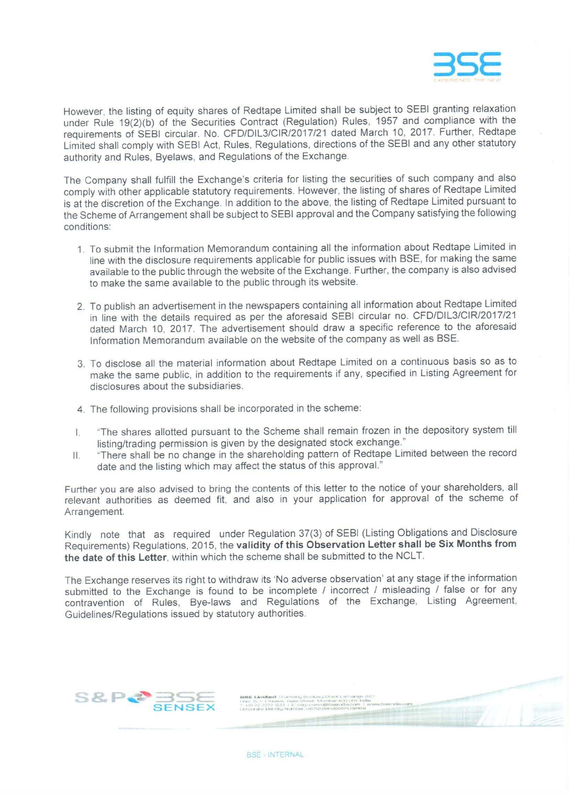

However, the listing of equity shares of Redtape Limited shall be subject to SEBI granting relaxation under Rule 19(2)(b) of the Securities Contract (Regulation) Rules, 1957 and compliance with the requirements of SEBI circular. No. CFD/DIL3/CIR/2017/21 dated March 10, 2017. Further, Redtape Limited shall comply with SEBI Act, Rules, Regulations, directions of the SEBI and any other statutory authority and Rules, Byelaws, and Regulations of the Exchange.

The Company shall fulfill the Exchange's criteria for listing the securities of such company and also comply with other applicable statutory requirements. However, the listing of shares of Redtape Limited is at the discretion of the Exchange. In addition to the above, the listing of Redtape Limited pursuant to the Scheme of Arrangement shall be subject to SEBI approval and the Company satisfying the following conditions:

- 1. To submit the Information Memorandum containing all the information about Redtape Limited in line with the disclosure requirements applicable for public issues with BSE, for making the same available to the public through the website of the Exchange. Further, the company is also advised to make the same available to the public through its website.
- 2. To publish an advertisement in the newspapers containing all information about Redtape Limited in line with the details required as per the aforesaid SEBI circular no. CFD/DIL3/CIR/2017/21 dated March 10, 2017. The advertisement should draw a specific reference to the aforesaid Information Memorandum available on the website of the company as well as BSE.
- 3. To disclose all the material information about Redtape Limited on a continuous basis so as to make the same public, in addition to the requirements if any, specified in Listing Agreement for disclosures about the subsidiaries.
- 4. The following provisions shall be incorporated in the scheme:
- I. "The shares allotted pursuant to the Scheme shall remain frozen in the depository system till listing/trading permission is given by the designated stock exchange."
- II. "There shall be no change in the shareholding pattern of Redtape Limited between the record date and the listing which may affect the status of this approval."

Further you are also advised to bring the contents of this letter to the notice of your shareholders, all relevant authorities as deemed fit, and also in your application for approval of the scheme of Arrangement.

Kindly note that as required under Regulation 37(3) of SEBI (Listing Obligations and Disclosure Requirements) Regulations, 2015, the **validity of this Observation Letter shall be Six Months from**  the date of this Letter, within which the scheme shall be submitted to the NCLT.

The Exchange reserves its right to withdraw its 'No adverse observation' at any stage if the information submitted to the Exchange is found to be incomplete / incorrect / misleading / false or for any contravention of Rules, Bye-laws and Regulations of the Exchange, Listing Agreement, Guidelines/Regulations issued by statutory authorities.

> **1186 Limited** (Formisty Bombey Stock Exchange In • • **J --** *--1* ·-..,..,,., • ..- **41..0** .). **lt,clllM**

**t,1.r: ... ·•""-W'"** • --- **JIC. - \_.,.!00:,,.,.,~. <sup>0</sup>**

**86. Limited** (Forming Boritary Stock Exchange tratt)<br>se: IS, P. J. (bivers. Date) Street, Municial 400.000 india.<br>+61.22.2272. 23.5. L. E. org. promptiblesimide.com | www.bisendia.com<br>hnorate identity Numbert US/7/20MH300



**BSE - INTERNAL**